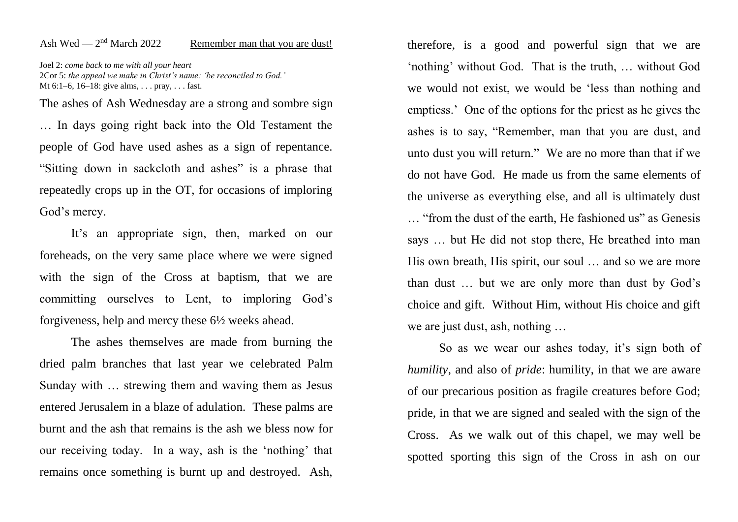## Ash Wed —  $2<sup>nd</sup>$  March 2022 Remember man that you are dust!

Joel 2: *come back to me with all your heart* 2Cor 5: *the appeal we make in Christ's name: 'be reconciled to God.'* Mt 6:1–6, 16–18: give alms, . . . pray, . . . fast.

The ashes of Ash Wednesday are a strong and sombre sign … In days going right back into the Old Testament the people of God have used ashes as a sign of repentance. "Sitting down in sackcloth and ashes" is a phrase that repeatedly crops up in the OT, for occasions of imploring God's mercy.

It's an appropriate sign, then, marked on our foreheads, on the very same place where we were signed with the sign of the Cross at baptism, that we are committing ourselves to Lent, to imploring God's forgiveness, help and mercy these 6½ weeks ahead.

The ashes themselves are made from burning the dried palm branches that last year we celebrated Palm Sunday with … strewing them and waving them as Jesus entered Jerusalem in a blaze of adulation. These palms are burnt and the ash that remains is the ash we bless now for our receiving today. In a way, ash is the 'nothing' that remains once something is burnt up and destroyed. Ash,

therefore, is a good and powerful sign that we are 'nothing' without God. That is the truth, … without God we would not exist, we would be 'less than nothing and emptiess.' One of the options for the priest as he gives the ashes is to say, "Remember, man that you are dust, and unto dust you will return." We are no more than that if we do not have God. He made us from the same elements of the universe as everything else, and all is ultimately dust … "from the dust of the earth, He fashioned us" as Genesis says … but He did not stop there, He breathed into man His own breath, His spirit, our soul … and so we are more than dust … but we are only more than dust by God's choice and gift. Without Him, without His choice and gift we are just dust, ash, nothing …

So as we wear our ashes today, it's sign both of *humility*, and also of *pride*: humility, in that we are aware of our precarious position as fragile creatures before God; pride, in that we are signed and sealed with the sign of the Cross. As we walk out of this chapel, we may well be spotted sporting this sign of the Cross in ash on our